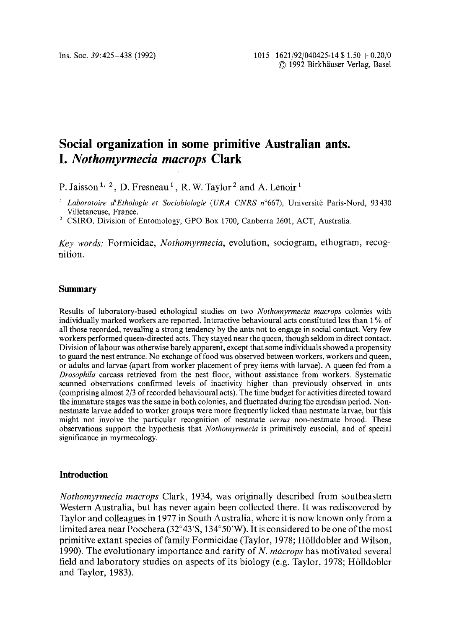# **Social organization in some primitive Australian ants.**  *I. Nothomyrmecia macrops* **Clark**

P. Jaisson<sup>1, 2</sup>, D. Fresneau<sup>1</sup>, R. W. Taylor<sup>2</sup> and A. Lenoir<sup>1</sup>

- <sup>1</sup> Laboratoire d'Ethologie et Sociobiologie (URA CNRS n°667), Université Paris-Nord, 93430 Villetaneuse, France.
- 2 CSIRO, Division of Entomology, GPO Box 1700, Canberra 2601, ACT, Australia.

*Key words."* Formicidae, *Nothomyrmecia,* evolution, sociogram, ethogram, recognition.

### **Summary**

Results of laboratory-based ethological studies on two *Nothomyrmecia macrops* colonies with individually marked workers are reported. Interactive behavioural acts constituted less than 1% of all those recorded, revealing a strong tendency by the ants not to engage in social contact. Very few workers performed queen-directed acts. They stayed near the queen, though seldom in direct contact. Division of labour was otherwise barely apparent, except that some individuals showed a propensity to guard the nest entrance. No exchange of food was observed between workers, workers and queen, or adults and larvae (apart from worker placement of prey items with larvae). A queen fed from a *Drosophila* carcass retrieved from the nest floor, without assistance from workers. Systematic scanned observations confirmed levels of inactivity higher than previously observed in ants (comprising almost 2/3 of recorded behavioural acts). The time budget for activities directed toward the immature stages was the same in both colonies, and fluctuated during the circadian period. Nonnestmate larvae added to worker groups were more frequently licked than nestmate larvae, but this might not involve the particular recognition of nestmate *versus* non-nestmate brood. These observations support the hypothesis that *Nothomyrmecia* is primitively eusocial, and of special significance in myrmecology.

# **Introduction**

*Nothomyrmecia macrops* Clark, 1934, was originally described from southeastern Western Australia, but has never again been collected there. It was rediscovered by Taylor and colleagues in 1977 in South Australia, where it is now known only from a limited area near Poochera (32° 43′ S, 134° 50′ W). It is considered to be one of the most primitive extant species of family Formicidae (Taylor, 1978; Hölldobler and Wilson, 1990). The evolutionary importance and rarity of *N. macrops* has motivated several field and laboratory studies on aspects of its biology (e.g. Taylor, 1978; Hölldobler and Taylor, 1983).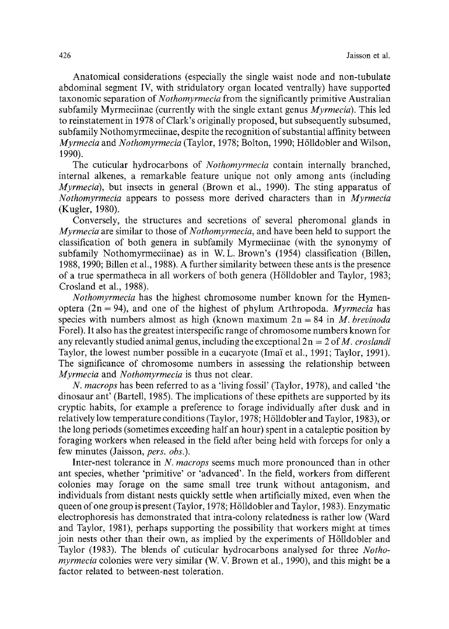Anatomical considerations (especially the single waist node and non-tubulate abdominal segment IV, with stridulatory organ located ventrally) have supported taxonomic separation of *Nothomyrmecia* from the significantly primitive Australian subfamily Myrmeciinae (currently with the single extant genus *Myrmecia).* This led to reinstatement in 1978 of Clark's originally proposed, but subsequently subsumed, subfamily Nothomyrmeciinae, despite the recognition of substantial affinity between *Myrmecia* and *Nothomyrmecia* (Taylor, 1978; Bolton, 1990; H611dobler and Wilson, 1990).

The cuticular hydrocarbons of *Nothomyrmecia* contain internally branched, internal alkenes, a remarkable feature unique not only among ants (including *Myrmecia),* but insects in general (Brown et al., 1990). The sting apparatus of *Nothomyrmec&* appears to possess more derived characters than in *Myrmecia*  (Kugler, 1980).

Conversely, the structures and secretions of several pheromonal glands in *Myrmecia* are similar to those of *Nothomyrmecia,* and have been held to support the classification of both genera in subfamily Myrmeciinae (with the synonymy of subfamily Nothomyrmeciinae) as in W. L. Brown's (1954) classification (Billen, 1988, 1990; Billen et al., 1988). A further similarity between these ants is the presence of a true spermatheca in all workers of both genera (H611dobler and Taylor, 1983; Crosland et al., 1988).

*Nothomyrmecia* has the highest chromosome number known for the Hymenoptera  $(2n = 94)$ , and one of the highest of phylum Arthropoda. *Myrmecia* has species with numbers almost as high (known maximum 2n = 84 in *M. brevinoda*  Forel). It also has the greatest interspecific range of chromosome numbers known for any relevantly studied animal genus, including the exceptional  $2n = 2$  of M, *croslandi* Taylor, the Iowest number possible in a eucaryote (Imai et al., 1991; Taylor, 1991). The significance of chromosome numbers in assessing the relationship between *Myrmecia* and *Nothomyrmecia* is thus not clear.

*N. macrops* has been referred to as a 'living fossil' (Taylor, 1978), and called 'the dinosaur ant' (Bartell, 1985). The implications of these epithets are supported by its cryptic habits, for example a preference to forage individually after dusk and in relatively low temperature conditions (Taylor, 1978; H611dobler and Taylor, 1983), or the long periods (sometimes exceeding half an hour) spent in a cataleptic position by foraging workers when released in the field after being held with forceps for only a few minutes (Jaisson, *pers. obs.).* 

Inter-nest tolerance in *N. macrops* seems much more pronounced than in other ant species, whether 'primitive' or 'advanced'. In the field, workers from different colonies may forage on the same small tree trunk without antagonism, and individuals from distant nests quickly settle when artificially mixed, even when the queen of one group is present (Taylor, 1978; H611dobler and Taylor, 1983). Enzymatic electrophoresis has demonstrated that intra-colony relatedness is rather low (Ward and Taylor, 1981), perhaps supporting the possibility that workers might at times join nests other than their own, as implied by the experiments of H611dobler and Taylor (1983). The blends of cuticular hydrocarbons analysed for three *Nothomyrmecia* colonies were very similar (W. V. Brown et al., 1990), and this might be a factor related to between-nest toleration.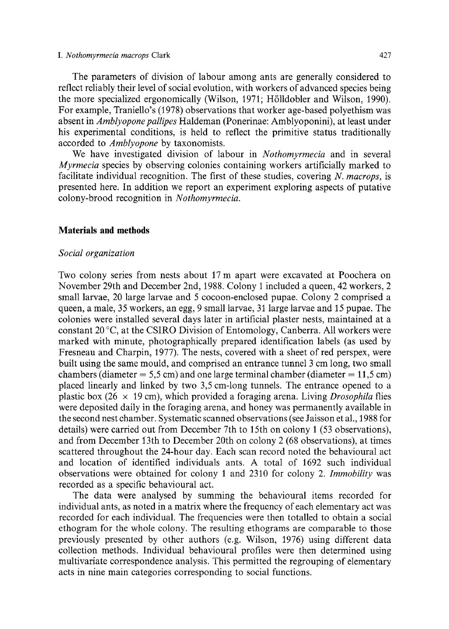#### *I. Nothomyrmecia macrops* Clark 427

The parameters of division of labour among ants are generally considered to reflect reliably their level of social evolution, with workers of advanced species being the more specialized ergonomically (Wilson, 1971; H611dobler and Wilson, 1990). For example, Traniello's (1978) observations that worker age-based polyethism was absent in *Amblyopone pallipes* Haldeman (Ponerinae: Amblyoponini), at least under his experimental conditions, is held to reflect the primitive status traditionally accorded to *Amblyopone* by taxonomists.

We have investigated division of labour in *Nothomyrmecia* and in several *Myrmecia* species by observing colonies containing workers artificially marked to facilitate individual recognition. The first of these studies, covering *N. macrops,* is presented here. In addition we report an experiment exploring aspects of putative colony-brood recognition in *Nothomyrmecia.* 

# **Materials and methods**

### *Social organization*

Two colony series from nests about 17 m apart were excavated at Poochera on November 29th and December 2nd, 1988. Colony 1 included a queen, 42 workers, 2 small larvae, 20 large larvae and 5 cocoon-enclosed pupae. Colony 2 comprised a queen, a male, 35 workers, an egg, 9 small larvae, 31 large larvae and 15 pupae. The colonies were installed several days later in artificial plaster nests, maintained at a constant  $20^{\circ}$ C, at the CSIRO Division of Entomology, Canberra. All workers were marked with minute, photographically prepared identification labels (as used by Fresneau and Charpin, 1977). The nests, covered with a sheet of red perspex, were built using the same mould, and comprised an entrance tunnel 3 cm long, two small chambers (diameter  $= 5.5$  cm) and one large terminal chamber (diameter  $= 11.5$  cm) placed linearly and linked by two 3,5 cm-long tunnels. The entrance opened to a plastic box ( $26 \times 19$  cm), which provided a foraging arena. Living *Drosophila* flies were deposited daily in the foraging arena, and honey was permanently available in the second nest chamber. Systematic scanned observations (see Jaisson et al., 1988 for details) were carried out from December 7th to 15th on colony 1 (53 observations), and from December 13th to December 20th on colony 2 (68 observations), at times scattered throughout the 24-hour day. Each scan record noted the behavioural act and location of identified individuals ants. A total of 1692 such individual observations were obtained for colony 1 and 2310 for colony 2. *Immobility* was recorded as a specific behavioural act.

The data were analysed by summing the behavioural items recorded for individual ants, as noted in a matrix where the frequency of each elementary act was recorded for each individual. The frequencies were then totalled to obtain a social ethogram for the whole colony. The resulting ethograms are comparable to those previously presented by other authors (e.g. Wilson, 1976) using different data collection methods. Individual behavioural profiles were then determined using multivariate correspondence analysis. This permitted the regrouping of elementary acts in nine main categories corresponding to social functions.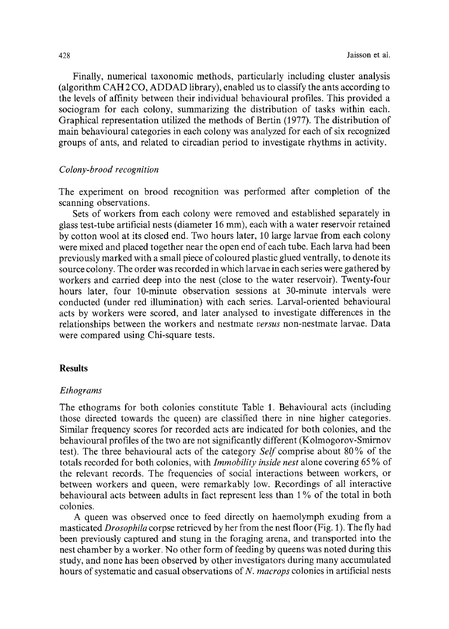Finally, numerical taxonomic methods, particularly including cluster analysis (algorithm CAH 2 CO, ADDAD library), enabled us to classify the ants according to the levels of affinity between their individual behavioural profiles. This provided a sociogram for each colony, summarizing the distribution of tasks within each. Graphical representation utilized the methods of Bertin (1977). The distribution of main behavioural categories in each colony was analyzed for each of six recognized groups of ants, and related to circadian period to investigate rhythms in activity.

### *Colony-brood recognition*

The experiment on brood recognition was performed after completion of the scanning observations.

Sets of workers from each colony were removed and established separately in glass test-tube artificial nests (diameter 16 mm), each with a water reservoir retained by cotton wool at its closed end. Two hours later, 10 large larvae from each colony were mixed and placed together near the open end of each tube. Each larva bad been previously marked with a small piece ofcoloured plastic glued ventrally, to denote its source colony. The order was recorded in which larvae in each series were gathered by workers and carried deep into the nest (close to the water reservoir). Twenty-four hours later, four 10-minute observation sessions at 30-minute intervals were conducted (under red illumination) with each series. Larval-oriented behavioural acts by workers were scored, and later analysed to investigate differences in the relationships between the workers and nestmate *versus* non-nestmate larvae. Data were compared using Chi-square tests.

# **Results**

### *Ethograms*

The ethograms for both colonies constitute Table 1. Behavioural acts (including those directed towards the queen) are classified there in nine higher categories. Similar frequency scores for recorded acts are indicated for both colonies, and the behavioural profiles of the two are not significantly different (Kolmogorov-Smirnov test). The three behavioural acts of the category *Self* comprise about 80 % of the totals recorded for both colonies, with *Immobility inside nest* alone covering 65 % of the relevant records. The frequencies of social interactions between workers, or between workers and queen, were remarkably low. Recordings of all interactive behavioural acts between adults in fact represent less than 1% of the total in both colonies.

A queen was observed once to feed directly on haemolymph exuding from a masticated *Drosophila* corpse retrieved by her from the nest floor (Fig. 1). The fly had been previously captured and stung in the foraging arena, and transported into the nest chamber by a worker. No other form of feeding by queens was noted during this study, and none has been observed by other investigators during many accumulated hours of systematic and casual observations of *N. macrops* colonies in artificial nests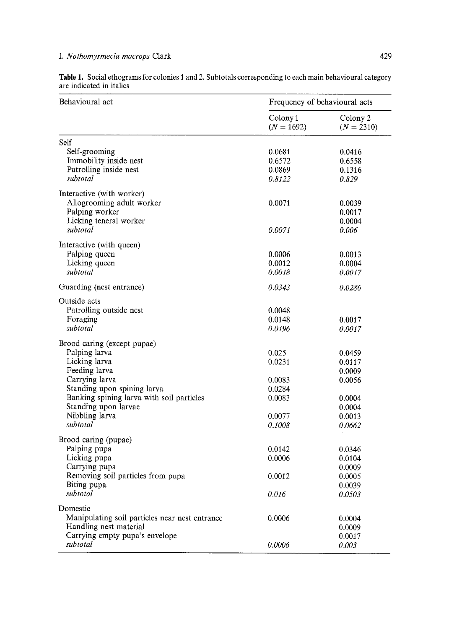# *I. Nothomyrmecia macrops* Clark 429

| Behavioural act                                | Frequency of behavioural acts |                          |  |
|------------------------------------------------|-------------------------------|--------------------------|--|
|                                                | Colony 1<br>$(N = 1692)$      | Colony 2<br>$(N = 2310)$ |  |
| Self                                           |                               |                          |  |
| Self-grooming                                  | 0.0681                        | 0.0416                   |  |
| Immobility inside nest                         | 0.6572                        | 0.6558                   |  |
| Patrolling inside nest                         | 0.0869                        | 0.1316                   |  |
| subtotal                                       | 0.8122                        | 0.829                    |  |
|                                                |                               |                          |  |
| Interactive (with worker)                      |                               |                          |  |
| Allogrooming adult worker                      | 0.0071                        | 0.0039                   |  |
| Palping worker                                 |                               | 0.0017                   |  |
| Licking teneral worker                         |                               | 0.0004                   |  |
| subtotal                                       | 0.0071                        | 0.006                    |  |
| Interactive (with queen)                       |                               |                          |  |
| Palping queen                                  | 0.0006                        | 0.0013                   |  |
| Licking queen                                  | 0.0012                        | 0.0004                   |  |
| subtotal                                       | 0.0018                        | 0.0017                   |  |
|                                                |                               |                          |  |
| Guarding (nest entrance)                       | 0.0343                        | 0.0286                   |  |
| Outside acts                                   |                               |                          |  |
| Patrolling outside nest                        | 0.0048                        |                          |  |
| Foraging                                       | 0.0148                        | 0.0017                   |  |
| subtotal                                       | 0.0196                        | 0.0017                   |  |
| Brood caring (except pupae)                    |                               |                          |  |
| Palping larva                                  | 0.025                         | 0.0459                   |  |
| Licking larva                                  | 0.0231                        | 0.0117                   |  |
| Feeding larva                                  |                               |                          |  |
| Carrying larva                                 | 0.0083                        | 0.0009                   |  |
|                                                |                               | 0.0056                   |  |
| Standing upon spining larva                    | 0.0284                        |                          |  |
| Banking spining larva with soil particles      | 0.0083                        | 0.0004                   |  |
| Standing upon larvae                           |                               | 0.0004                   |  |
| Nibbling larva                                 | 0.0077                        | 0.0013                   |  |
| subtotal                                       | 0.1008                        | 0.0662                   |  |
| Brood caring (pupae)                           |                               |                          |  |
| Palping pupa                                   | 0.0142                        | 0.0346                   |  |
| Licking pupa                                   | 0.0006                        | 0.0104                   |  |
| Carrying pupa                                  |                               | 0.0009                   |  |
| Removing soil particles from pupa              | 0.0012                        | 0.0005                   |  |
| Biting pupa                                    |                               | 0.0039                   |  |
| subtotal                                       | 0.016                         | 0.0503                   |  |
|                                                |                               |                          |  |
| Domestic                                       |                               |                          |  |
| Manipulating soil particles near nest entrance | 0.0006                        | 0.0004                   |  |
| Handling nest material                         |                               | 0.0009                   |  |
| Carrying empty pupa's envelope                 |                               | 0.0017                   |  |
| subtotal                                       | 0.0006                        | 0.003                    |  |

Table 1. Social ethograms for colonies 1 and 2. Subtotals corresponding to each main behavioural category are indicated in italics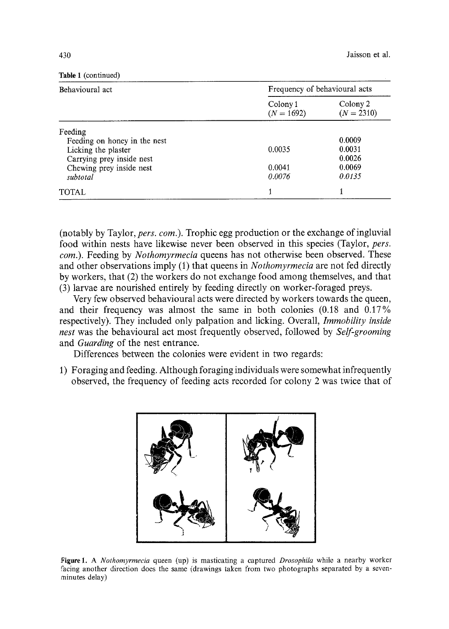# Table 1 (continued)

| Behavioural act              | Frequency of behavioural acts |                          |  |
|------------------------------|-------------------------------|--------------------------|--|
|                              | Colony 1<br>$(N = 1692)$      | Colony 2<br>$(N = 2310)$ |  |
| Feeding                      |                               |                          |  |
| Feeding on honey in the nest |                               | 0.0009                   |  |
| Licking the plaster          | 0.0035                        | 0.0031                   |  |
| Carrying prey inside nest    |                               | 0.0026                   |  |
| Chewing prey inside nest     | 0.0041                        | 0.0069                   |  |
| subtotal                     | 0.0076                        | 0.0135                   |  |
| TOTAL                        | 4                             |                          |  |

(notably by Taylor, *pers. com.).* Trophic egg production or the exchange of ingluvial food within nests have likewise never been observed in this species (Taylor, *pers. com.).* Feeding by *Nothomyrmeeia* queens has not otherwise been observed. These and other observations imply (1) that queens in *Nothomyrmecia* are not fed directly by workers, that (2) the workers do not exchange food among themselves, and that (3) larvae are nourished entirely by feeding directly on worker-foraged preys.

Very few observed behavioural acts were directed by workers towards the queen, and their frequency was almost the same in both colonies (0.18 and 0.17% respectively). They included only palpation and licking. Overall, *Immobility inside nest* was the behavioural act most frequently observed, followed by *Self-grooming*  and *Guarding* of the nest entrance.

Differences between the colonies were evident in two regards:

1) Foraging and feeding. Although foraging individuals were somewhat infrequently observed, the frequency of feeding acts recorded for colony 2 was twice that of



Figure 1. A *Nothomyrmecia* queen (up) is masticating a captured *Drosophila* while a nearby worker facing another direction does the same (drawings taken from two photographs separated by a sevenminutes delay)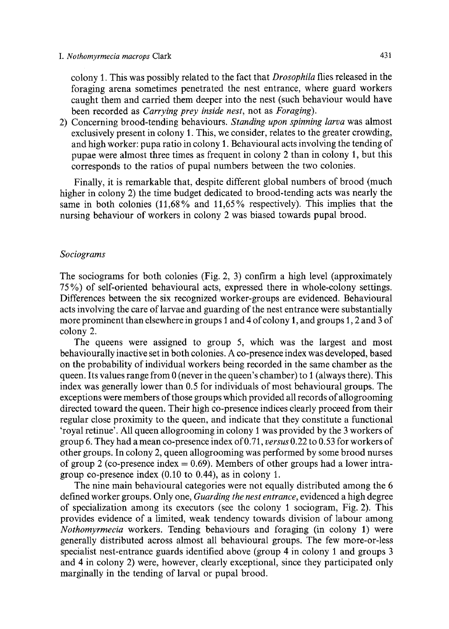colony 1. This was possibly related to the fact that *Drosophila* flies released in the foraging arena sometimes penetrated the nest entrance, where guard workers caught them and carried them deeper into the nest (such behaviour would have been recorded as *Carrying prey inside nest,* not as *Foraging).* 

2) Concerning brood-tending behaviours. *Standing upon spinning larva* was almost exclusively present in colony 1. This, we consider, relates to the greater crowding, and high worker: pupa ratio in colony 1. Behavioural acts involving the tending of pupae were almost three times as frequent in colony 2 than in colony 1, but this corresponds to the ratios of pupal numbers between the two colonies.

Finally, it is remarkable that, despite different global numbers of brood (much higher in colony 2) the time budget dedicated to brood-tending acts was nearly the same in both colonies (11,68 % and 11,65% respectively). This implies that the nursing behaviour of workers in colony 2 was biased towards pupal brood.

# *Sociograms*

The sociograms for both colonies (Fig. 2, 3) confirm a high level (approximately 75 %) of self-oriented behavioural acts, expressed there in whole-colony settings. Differences between the six recognized worker-groups are evidenced. Behavioural acts involving the care of larvae and guarding of the nest entrance were substantially more prominent than elsewhere in groups 1 and 4 of colony 1, and groups 1,2 and 3 of colony 2.

The queens were assigned to group 5, which was the largest and most behaviourally inactive set in both colonies. A co-presence index was developed, based on the probability of individual workers being recorded in the same chamber as the queen. Its values range from  $0$  (never in the queen's chamber) to 1 (always there). This index was generally lower than 0.5 for individuals of most behavioural groups. The exceptions were members of those groups which provided all records of allogrooming directed toward the queen. Their high co-presence indices clearly proceed from their regular close proximity to the queen, and indicate that they constitute a functional 'royal retinue'. All queen allogrooming in colony 1 was provided by the 3 workers of group 6. They had a mean co-presence index of 0.71, *versus* 0.22 to 0.53 for workers of other groups. In colony 2, queen allogrooming was performed by some brood nurses of group 2 (co-presence index  $= 0.69$ ). Members of other groups had a lower intragroup co-presence index (0.10 to 0.44), as in colony 1.

The nine main behavioural categories were not equally distributed among the 6 defined worker groups. Only one, *Guarding the nest entrance,* evidenced a high degree of specialization among its executors (see the colony 1 sociogram, Fig. 2). This provides evidence of a limited, weak tendency towards division of labour among *Nothomyrmecia* workers. Tending behaviours and foraging (in colony 1) were generally distributed across almost all behavioural groups. The few more-or-less specialist nest-entrance guards identified above (group 4 in colony 1 and groups 3 and 4 in colony 2) were, however, clearly exceptional, since they participated only marginally in the tending of larval or pupal brood.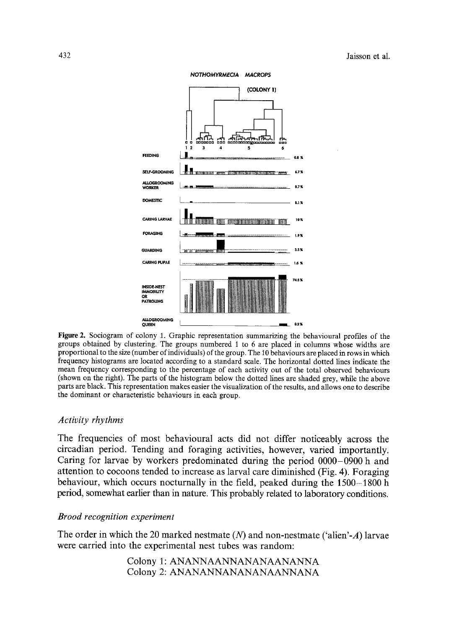

**Figure 2. Sociogram of colony 1. Graphic representation summarizing the behavioural profiles of the groups obtained by clustering. The groups numbered 1 to 6 are placed in columns whose widths are proportional to the size (number of individuals) of the group. The 10 behaviours are placed in rows in which frequency histograms are located according to a standard scale. The horizontal dotted lines indicate the mean frequency corresponding to the percentage of each activity out of the total observed behavionrs (shown on the right). The parts of the histogram below the dotted lines are shaded grey, while the above parts are black. This representation makes easier the visualization of the results, and allows one to describe the dominant or characteristic behaviours in each group.** 

# *Activity rhythms*

**The frequencies of most behavioural acts did not differ noticeably across the**  circadian period. Tending and foraging activities, however, varied importantly. **Caring for larvae by workers predominated during the period 0000-0900 h and attention to cocoons tended to increase as larval care diminished (Fig 4) Foraging behaviour, which occurs nocturnally in the field, peaked during the 1500-1800 h**  period, somewhat earlier than in nature. This probably related to laboratory conditions.

# *Brood recognition experiment*

**The order in which the 20 marked nestmate (N) and non-nestmate ('alien'-A) larvae were carried into the experimental nest tubes was random:** 

> **Colony 1: ANANNAANNANANAANANNA Colony 2: ANANANNANANANAANNANA**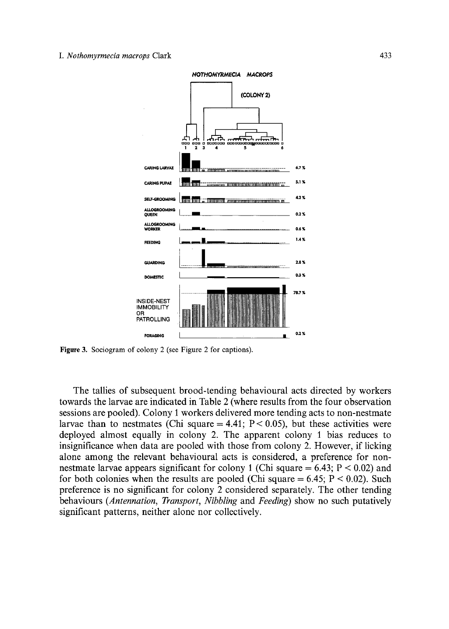### *I. Nothomyrmecia macrops* **Clark** 433



**Figure 3. Sociogram of colony 2 (see Figure 2 for captions).** 

**The tallies of subsequent brood-tending behavioural acts directed by workers towards the larvae are indicated in Table 2 (where results from the four observation sessions are pooled). Colony 1 workers delivered more tending acts to non-nestmate**  larvae than to nestmates (Chi square  $=4.41$ ; P $< 0.05$ ), but these activities were **deployed almost equally in colony 2. The apparent colony I bias reduces to insignificance when data are pooled with those from colony 2. However, if licking alone among the relevant behavioural acts is considered, a preference for nonnestmate larvae appears significant for colony I (Chi square = 6.43; P < 0.02) and for both colonies when the results are pooled (Chi square = 6.45; P < 0.02). Such preference is no significant for colony 2 considered separately. The other tending behaviours** *(Antennation, Transport, Nibbling* **and** *Feeding)* **show no such putatively significant patterns, neither alone nor collectively.**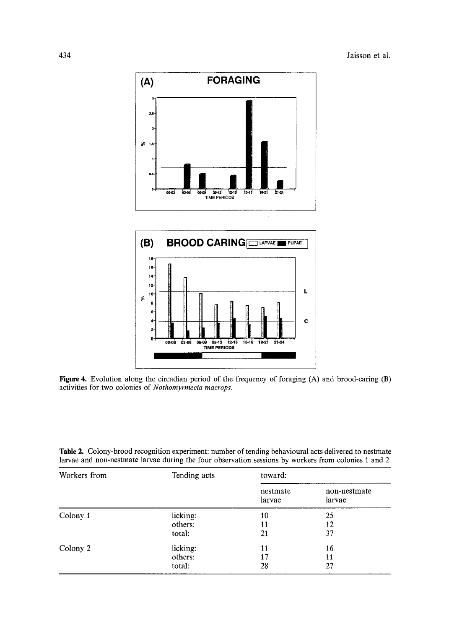



**Figure 4.** Evolution along the circadian period of the frequency of foraging (A) and brood-caring **(B)**  activities for two colonies of *Nothomyrmecia macrops.* 

| Table 2. Colony-brood recognition experiment: number of tending behavioural acts delivered to nestmate |  |  |  |  |
|--------------------------------------------------------------------------------------------------------|--|--|--|--|
| larvae and non-nestmate larvae during the four observation sessions by workers from colonies 1 and 2   |  |  |  |  |

| Workers from | Tending acts | toward:            |                        |  |
|--------------|--------------|--------------------|------------------------|--|
|              |              | nestmate<br>larvae | non-nestmate<br>larvae |  |
| Colony 1     | licking:     | 10                 | 25                     |  |
|              | others:      | 11                 | 12                     |  |
|              | total:       | 21                 | 37                     |  |
| Colony 2     | licking:     | 11                 | 16                     |  |
|              | others:      | 17                 | 11                     |  |
|              | total:       | 28                 | 27                     |  |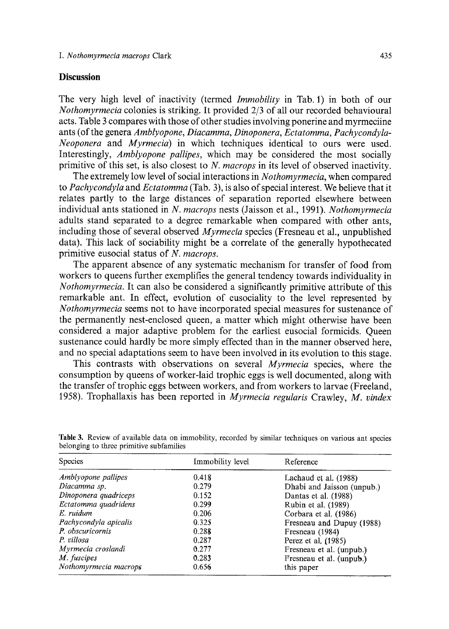# **Discussion**

The very high level of inactivity (termed *Immobility* in Tab. 1) in both of our *Nothomyrmecia* colonies is striking. It provided 2/3 of all our recorded behavioural acts. Table 3 compares with those of other studies involving ponerine and myrmeciine ants (of the genera *Amblyopone, Diacamma, Dinoponera, Ectatomma, Pachycondyla-Neoponera* and *Myrmecia)* in which techniques identical to ours were used. Interestingly, *Amblyopone pallipes,* which may be considered the most socially primitive of this set, is also closest to *N. macrops* in its level of observed inactivity,

The extremely low level of social interactions in *Nothomyrmecia,* when compared to *Pachycondyla* and *Ectatomma* (Tab. 3), is also of special interest. We believe that it relates partly to the large distances of separation reported elsewhere between individual ants stationed in *N. macrops* nests (Jaisson et al., 1991). *Nothomyrmecia*  adults stand separated to a degree remarkable when compared with other ants, including those of several observed *Myrmecia* species (Fresneau et al., unpublished data). This lack of sociability might be a correlate of the generally hypothecated primitive eusocial status of *N. macrops.* 

The apparent absence of any systematic mechanism for transfer of food from workers to queens further exemplifies the general tendency towards individuality in *Nothomyrmecia.* It can also be considered a significantly primitive attribute of this remarkable ant, In effect, evolution of eusociality to the level represented by *Nothomyrmecia* seems not to have incorporated special measures for sustenance of the permanently nest-enclosed queen, a matter which might otherwise have been considered a major adaptive problem for the earliest eusocial formicids. Queen sustenance could hardly be more simply effected than in the manner observed here, and no special adaptations seem to have been involved in its evolution to this stage.

This contrasts with observations on several *Myrmecia* species, where the consumption by queens of worker-laid trophic eggs is well documented, along with the transfer of trophic eggs between workers, and from workers to larvae (Freeland, 1958). Trophallaxis has been reported in *Myrmecia regularis* Crawley, *M. vindex* 

| <b>Species</b>        | Immobility level | Reference                  |  |
|-----------------------|------------------|----------------------------|--|
| Amblyopone pallipes   | 0.418            | Lachaud et al. (1988)      |  |
| Diacamma sp.          | 0.279            | Dhabi and Jaisson (unpub.) |  |
| Dinoponera quadriceps | 0.152            | Dantas et al. (1988)       |  |
| Ectatomma quadridens  | 0.299            | Rubin et al. (1989)        |  |
| E ruidum              | 0.206            | Corbara et al. (1986)      |  |
| Pachycondyla apicalis | 0.325            | Fresneau and Dupuy (1988)  |  |
| P. obscuricornis      | 0.288            | Fresneau (1984)            |  |
| P. villosa            | 0.287            | Perez et al. (1985)        |  |
| Myrmecia croslandi    | 0.277            | Fresneau et al. (unpub.)   |  |
| M. fuscipes           | 0.283            | Fresneau et al. (unpub.)   |  |
| Nothomyrmecia macrops | 0.656            | this paper                 |  |

Table 3. Review of available data on immobility, recorded by similar techniques on various ant species belonging to three primitive subfamilies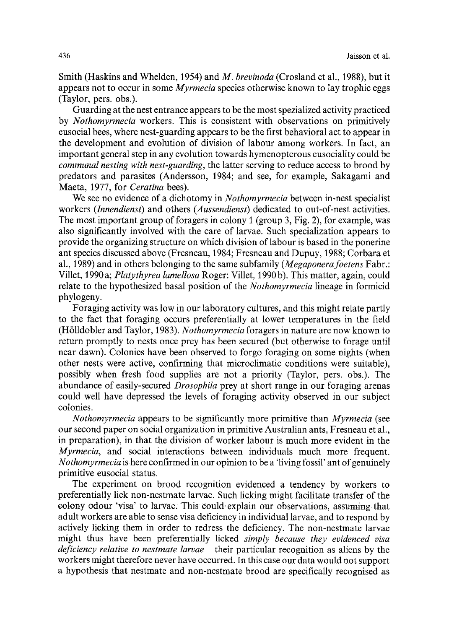Smith (Haskins and Whelden, 1954) and *M. brevinoda* (Crosland et al., 1988), but it appears not to occur in some *Myrmecia* species otherwise known to lay trophic eggs (Taylor, pers. obs.).

Guarding at the nest entrance appears to be the most spezialized activity practiced by *Nothomyrmecia* workers. This is consistent with observations on primitively eusocial bees, where nest-guarding appears to be the first behavioral act to appear in the development and evolution of division of labour among workers. In fact, an important general step in any evolution towards hymenopterous eusociatity could be *communal nesting with nest-guarding,* the latter serving to reduce access to brood by predators and parasites (Andersson, 1984; and see, for example, Sakagami and Maeta, 1977, for *Ceratina* bees).

We see no evidence of a dichotomy in *Nothomyrmecia* between in-nest specialist workers *(Innendienst)* and others *(Aussendienst)* dedicated to out-of-nest activities. The most important group of foragers in colony 1 (group 3, Fig. 2), for example, was also significantly involved with the care of larvae. Such specialization appears to provide the organizing structure on which division of labour is based in the ponerine ant species discussed above (Fresneau, 1984; Fresneau and Dupuy, 1988; Corbara et al., 1989) and in others belonging to the same subfamily *(Megaponerafoetens* Fabr.: Viltet, 1990 a; *Platythyrea lamellosa* Roger: Villet, 1990 b). This matter, again, could relate to the hypothesized basal position of the *Nothomyrmecia* lineage in formicid phylogeny.

Foraging activity was low in our laboratory cultures, and this might relate partly to the fact that foraging occurs preferentially at lower temperatures in the field (H611dobler and Taylor, 1983). *Nothomyrmecia* foragers in nature are now known to return promptly to nests once prey has been secured (but otherwise to forage until near dawn). Colonies have been observed to forgo foraging on some nights (when other nests were active, confirming that microclimatic conditions were suitable), possibly when fresh food supplies are not a priority (Taylor, pers. obs.). The abundance of easily-secured *Drosophila* prey at short range in our foraging arenas could well have depressed the levels of foraging activity observed in our subject colonies.

*Nothomyrmecia* appears to be significantly more primitive than *Myrmecia* (see our second paper on social organization in primitive Australian ants, Fresneau et al., in preparation), in that the division of worker labour is much more evident in the *Myrmecia,* and social interactions between individuals much more frequent. *Nothomyrmecia* is here confirmed in our opinion to be a 'living fossil' ant of genuinely primitive eusocial status.

The experiment on brood recognition evidenced a tendency by workers to preferentially lick non-nestmate larvae. Such licking might facilitate transfer of the ~lony odour 'visa' to larvae. This could, explain our observations, assuming that adult workers are able to sense visa deficiency in individual larvae, and to respond by actively licking them in order to redress the deficiency. The non-nestmate larvae might thus have been preferentially licked *simply because they evidenced visa deficiency relative to nestmate larvae -* their particular recognition as aliens by the workers might therefore never have occurred. In this case our data would not support a hypothesis that nestmate and non-nestmate brood are specifically recognised as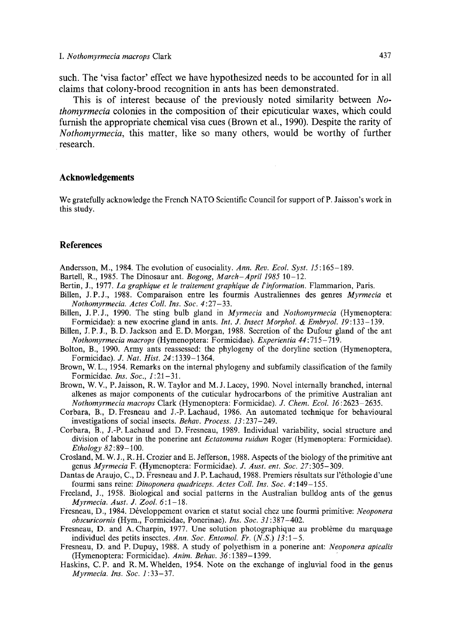such. The 'visa factor' effect we have hypothesized needs to be accounted for in all claims that colony-brood recognition in ants has been demonstrated.

This is of interest because of the previously noted similarity between *Nothomyrmeeia* colonies in the composition of their epicuticular waxes, which could furnish the appropriate chemical visa cues (Brown et al., 1990). Despite the rarity of *Nothomyrmecia,* this matter, like so many others, would be worthy of further research.

### **Acknowledgements**

We gratefully acknowledge the French NATO Scientific Council for support of P. Jaisson's work in this study.

### **References**

Andersson, M., 1984. The evolution of eusociality. *Ann. Rev. Ecol. Syst. 15:165-189.* 

- Bartell, R., 1985. The Dinosaur ant. *Bogong, March-April 1985* 10-12.
- Bertin, J., 1977. *La graphique et le traitement graphique de l'information.* Flammarion, Paris.
- Billen, J.P.J., 1988. Comparaison entre les fourmis Australiennes des genres *Myrmecia* et *Nothomyrmecia. Actes Coll. Ins. Soc.* 4:27-33.
- Billen, J.P.J., 1990. The sting bulb gland in *Myrmecia* and *Nothomyrmecia* (Hymenoptera: Formicidae): a new exocrine gland in ants. *Int. J. Insect Morphol. & Embryol.* 19:133-139.
- Billen, J. P.J., B. D. Jackson and E. D. Morgan, 1988. Secretion of the Dufour gland of the ant *Nothomyrmecia maerops* (Hymenoptera: Formicidae). *Experientia 44:715-719.*
- Bolton, B., 1990. Army ants reassessed: the phylogeny of the doryline section (Hymenoptera, Formicidae). *J. Nat. Hist.* 24:1339-1364.
- Brown, W. L., 1954. Remarks on the internal phylogeny and subfamily classification of the family Formicidae. *Ins. Soc., 1:21-31.*
- Brown, W.V., P. Jaisson, R. W. Taylor and M. J. Lacey, 1990. Novel internally branched, internal alkenes as major components of the cuticular hydrocarbons of the primitive Australian ant *Nothomyrmecia macrops* Clark (Hymenoptera: Formicidae). *J. Chem. Ecol. 16:2623* 2635.
- Corbara, B., D. Fresneau and J.-P. Lachaud, 1986. An automated technique for behavioural investigations of social insects. *Behav. Process. 13* : 237- 249.
- Corbara, B., J.-P. Lachaud and D. Fresneau, 1989. Individual variability, social structure and division of labour in the ponerine ant *Ectatomma ruidum* Roger (Hymenoptera: Formicidae). *Ethology 82* : 89-100.
- Crosland, M. W. J., R. H. Crozier and E. Jefferson, 1988. Aspects of the biology of the primitive ant genus *Myrmecia* F. (Hymenoptera: Formicidae). *J. Aust. ent. Soc.* 27:305-309.
- Dantas de Araujo, C., D. Fresneau and J. P. Lachaud, 1988. Premiers résultats sur l'éthologie d'une fourmi sans reine: *Dinoponera quadriceps. Actes Coll. Ins. Soc.* 4:149-155.
- Freeland, J., 1958. Biological and social patterns in the Australian bulldog ants of the genus *Myrmecia. Aust. J. Zool.* 6:1-18.
- Fresneau, D., 1984. Développement ovarien et statut social chez une fourmi primitive: *Neoponera obseuricornis* (Hym., Formicidae, Ponerinae). *Ins. Soc.* 31:387-402.
- Fresneau, D. and A. Charpin, 1977. Une solution photographique au problème du marquage individuel des petits insectes. *Ann. Soc. Entomol. Fr. (N.S.) 13:1-5.*
- Fresneau, D. and P. Dupuy, 1988. A study of polyethism in a ponerine ant: *Neoponera apicalis*  (Hymenoptera: Formicidae). *Anim. Behav.* 36:1389-1399.
- Haskins, C.P. and R. M. Whelden, 1954. Note on the exchange of ingluvial food in the genus *Myrmecia. Ins. Soe. 1:33-37.*